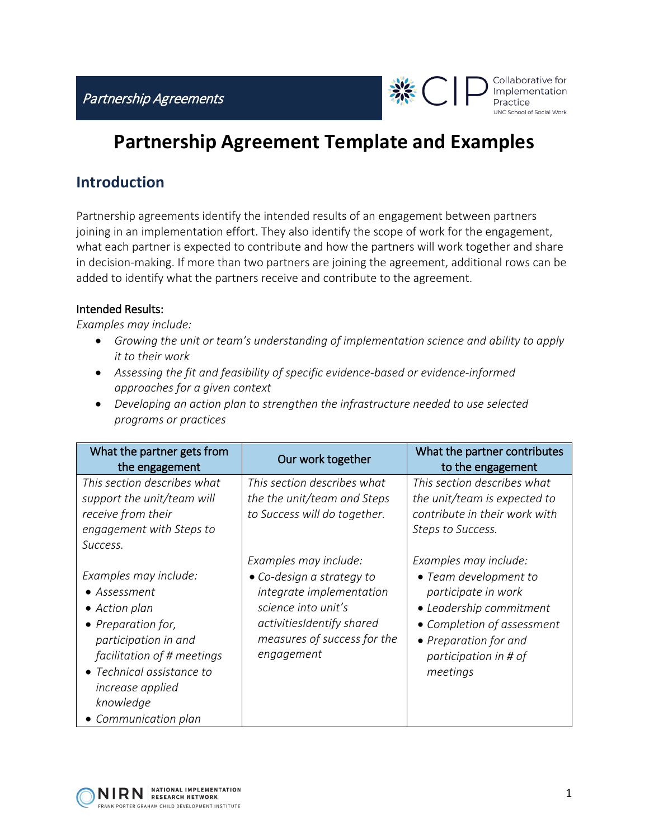Partnership Agreements



# **Partnership Agreement Template and Examples**

## **Introduction**

Partnership agreements identify the intended results of an engagement between partners joining in an implementation effort. They also identify the scope of work for the engagement, what each partner is expected to contribute and how the partners will work together and share in decision-making. If more than two partners are joining the agreement, additional rows can be added to identify what the partners receive and contribute to the agreement.

#### Intended Results:

*Examples may include:*

- *Growing the unit or team's understanding of implementation science and ability to apply it to their work*
- *Assessing the fit and feasibility of specific evidence-based or evidence-informed approaches for a given context*
- *Developing an action plan to strengthen the infrastructure needed to use selected programs or practices*

| What the partner gets from<br>the engagement                                                                                                                                                                             | Our work together                                                                                                                                                               | What the partner contributes<br>to the engagement                                                                                                                                            |
|--------------------------------------------------------------------------------------------------------------------------------------------------------------------------------------------------------------------------|---------------------------------------------------------------------------------------------------------------------------------------------------------------------------------|----------------------------------------------------------------------------------------------------------------------------------------------------------------------------------------------|
| This section describes what<br>support the unit/team will<br>receive from their<br>engagement with Steps to<br>Success.                                                                                                  | This section describes what<br>the the unit/team and Steps<br>to Success will do together.                                                                                      | This section describes what<br>the unit/team is expected to<br>contribute in their work with<br>Steps to Success.                                                                            |
| Examples may include:<br>• Assessment<br>• Action plan<br>• Preparation for,<br>participation in and<br>facilitation of # meetings<br>• Technical assistance to<br>increase applied<br>knowledge<br>• Communication plan | Examples may include:<br>• Co-design a strategy to<br>integrate implementation<br>science into unit's<br>activitiesIdentify shared<br>measures of success for the<br>engagement | Examples may include:<br>• Team development to<br>participate in work<br>• Leadership commitment<br>• Completion of assessment<br>• Preparation for and<br>participation in # of<br>meetings |

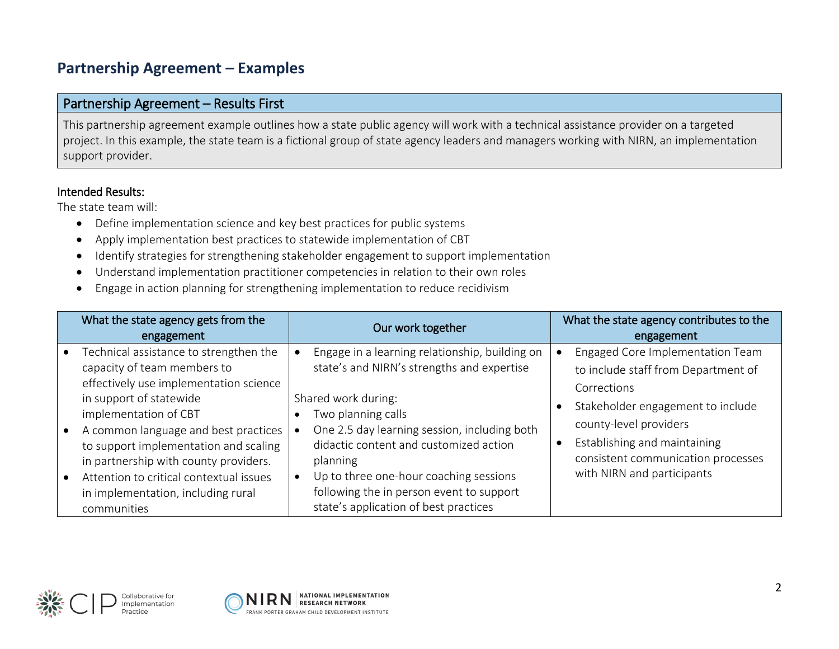# **Partnership Agreement – Examples**

#### Partnership Agreement – Results First

This partnership agreement example outlines how a state public agency will work with a technical assistance provider on a targeted project. In this example, the state team is a fictional group of state agency leaders and managers working with NIRN, an implementation support provider.

#### Intended Results:

The state team will:

- Define implementation science and key best practices for public systems
- Apply implementation best practices to statewide implementation of CBT
- Identify strategies for strengthening stakeholder engagement to support implementation
- Understand implementation practitioner competencies in relation to their own roles
- Engage in action planning for strengthening implementation to reduce recidivism

| What the state agency gets from the<br>engagement                                                                                                                                                                                                                                                                                                                                             | Our work together                                                                                                                                                                                                                                                                                                                                                              | What the state agency contributes to the<br>engagement                                                                                                                                                                                                    |
|-----------------------------------------------------------------------------------------------------------------------------------------------------------------------------------------------------------------------------------------------------------------------------------------------------------------------------------------------------------------------------------------------|--------------------------------------------------------------------------------------------------------------------------------------------------------------------------------------------------------------------------------------------------------------------------------------------------------------------------------------------------------------------------------|-----------------------------------------------------------------------------------------------------------------------------------------------------------------------------------------------------------------------------------------------------------|
| Technical assistance to strengthen the<br>capacity of team members to<br>effectively use implementation science<br>in support of statewide<br>implementation of CBT<br>A common language and best practices<br>to support implementation and scaling<br>in partnership with county providers.<br>Attention to critical contextual issues<br>in implementation, including rural<br>communities | Engage in a learning relationship, building on<br>state's and NIRN's strengths and expertise<br>Shared work during:<br>Two planning calls<br>One 2.5 day learning session, including both<br>didactic content and customized action<br>planning<br>Up to three one-hour coaching sessions<br>following the in person event to support<br>state's application of best practices | Engaged Core Implementation Team<br>to include staff from Department of<br>Corrections<br>Stakeholder engagement to include<br>county-level providers<br>Establishing and maintaining<br>consistent communication processes<br>with NIRN and participants |



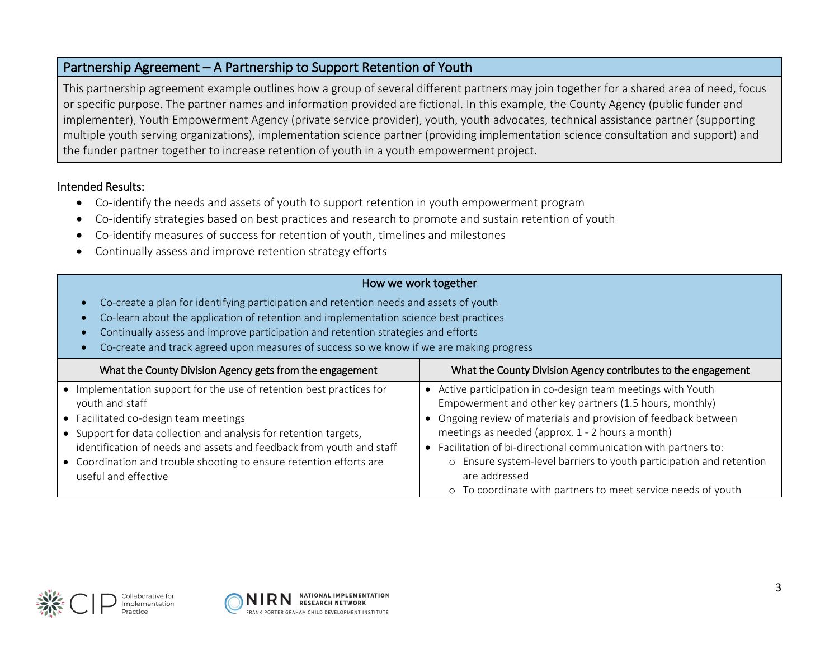### Partnership Agreement – A Partnership to Support Retention of Youth

This partnership agreement example outlines how a group of several different partners may join together for a shared area of need, focus or specific purpose. The partner names and information provided are fictional. In this example, the County Agency (public funder and implementer), Youth Empowerment Agency (private service provider), youth, youth advocates, technical assistance partner (supporting multiple youth serving organizations), implementation science partner (providing implementation science consultation and support) and the funder partner together to increase retention of youth in a youth empowerment project.

#### Intended Results:

- Co-identify the needs and assets of youth to support retention in youth empowerment program
- Co-identify strategies based on best practices and research to promote and sustain retention of youth
- Co-identify measures of success for retention of youth, timelines and milestones
- Continually assess and improve retention strategy efforts

#### How we work together

- Co-create a plan for identifying participation and retention needs and assets of youth
- Co-learn about the application of retention and implementation science best practices
- Continually assess and improve participation and retention strategies and efforts
- Co-create and track agreed upon measures of success so we know if we are making progress

| What the County Division Agency gets from the engagement                                    | What the County Division Agency contributes to the engagement                                                            |
|---------------------------------------------------------------------------------------------|--------------------------------------------------------------------------------------------------------------------------|
| • Implementation support for the use of retention best practices for                        | • Active participation in co-design team meetings with Youth                                                             |
| youth and staff<br>• Facilitated co-design team meetings                                    | Empowerment and other key partners (1.5 hours, monthly)<br>Ongoing review of materials and provision of feedback between |
| • Support for data collection and analysis for retention targets,                           | meetings as needed (approx. 1 - 2 hours a month)                                                                         |
| identification of needs and assets and feedback from youth and staff                        | • Facilitation of bi-directional communication with partners to:                                                         |
| • Coordination and trouble shooting to ensure retention efforts are<br>useful and effective | o Ensure system-level barriers to youth participation and retention<br>are addressed                                     |
|                                                                                             | o To coordinate with partners to meet service needs of youth                                                             |